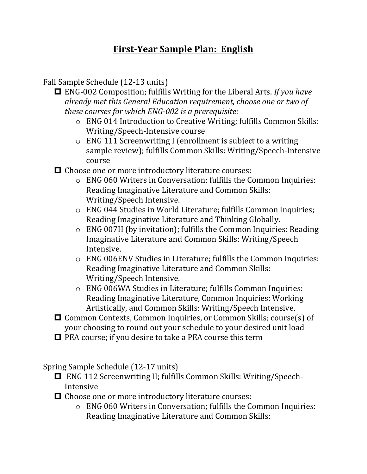## **First-Year Sample Plan: English**

Fall Sample Schedule (12-13 units)

- ENG-002 Composition; fulfills Writing for the Liberal Arts. *If you have already met this General Education requirement, choose one or two of these courses for which ENG-002 is a prerequisite:* 
	- o ENG 014 Introduction to Creative Writing; fulfills Common Skills: Writing/Speech-Intensive course
	- o ENG 111 Screenwriting I (enrollment is subject to a writing sample review); fulfills Common Skills: Writing/Speech-Intensive course
- $\Box$  Choose one or more introductory literature courses:
	- o ENG 060 Writers in Conversation; fulfills the Common Inquiries: Reading Imaginative Literature and Common Skills: Writing/Speech Intensive.
	- o ENG 044 Studies in World Literature; fulfills Common Inquiries; Reading Imaginative Literature and Thinking Globally.
	- o ENG 007H (by invitation); fulfills the Common Inquiries: Reading Imaginative Literature and Common Skills: Writing/Speech Intensive.
	- o ENG 006ENV Studies in Literature; fulfills the Common Inquiries: Reading Imaginative Literature and Common Skills: Writing/Speech Intensive.
	- o ENG 006WA Studies in Literature; fulfills Common Inquiries: Reading Imaginative Literature, Common Inquiries: Working Artistically, and Common Skills: Writing/Speech Intensive.
- □ Common Contexts, Common Inquiries, or Common Skills; course(s) of your choosing to round out your schedule to your desired unit load
- $\Box$  PEA course; if you desire to take a PEA course this term

Spring Sample Schedule (12-17 units)

- ENG 112 Screenwriting II; fulfills Common Skills: Writing/Speech-Intensive
- $\Box$  Choose one or more introductory literature courses:
	- o ENG 060 Writers in Conversation; fulfills the Common Inquiries: Reading Imaginative Literature and Common Skills: